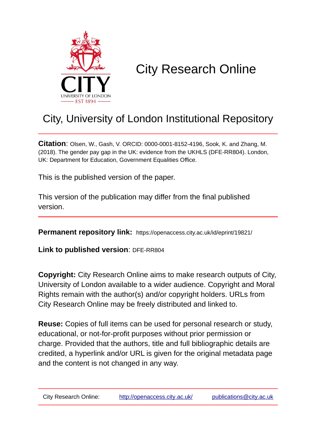

# City Research Online

# City, University of London Institutional Repository

**Citation**: Olsen, W., Gash, V. ORCID: 0000-0001-8152-4196, Sook, K. and Zhang, M. (2018). The gender pay gap in the UK: evidence from the UKHLS (DFE-RR804). London, UK: Department for Education, Government Equalities Office.

This is the published version of the paper.

This version of the publication may differ from the final published version.

**Permanent repository link:** https://openaccess.city.ac.uk/id/eprint/19821/

**Link to published version: DFE-RR804** 

**Copyright:** City Research Online aims to make research outputs of City, University of London available to a wider audience. Copyright and Moral Rights remain with the author(s) and/or copyright holders. URLs from City Research Online may be freely distributed and linked to.

**Reuse:** Copies of full items can be used for personal research or study, educational, or not-for-profit purposes without prior permission or charge. Provided that the authors, title and full bibliographic details are credited, a hyperlink and/or URL is given for the original metadata page and the content is not changed in any way.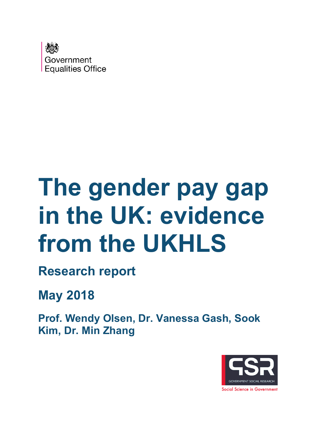

# **The gender pay gap in the UK: evidence from the UKHLS**

**Research report**

**May 2018**

**Prof. Wendy Olsen, Dr. Vanessa Gash, Sook Kim, Dr. Min Zhang**

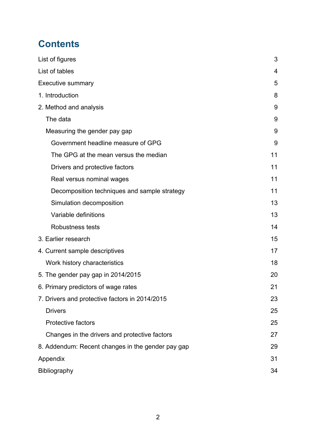# **Contents**

| List of figures                                   | 3  |
|---------------------------------------------------|----|
| List of tables                                    | 4  |
| <b>Executive summary</b>                          | 5  |
| 1. Introduction                                   | 8  |
| 2. Method and analysis                            | 9  |
| The data                                          | 9  |
| Measuring the gender pay gap                      | 9  |
| Government headline measure of GPG                | 9  |
| The GPG at the mean versus the median             | 11 |
| Drivers and protective factors                    | 11 |
| Real versus nominal wages                         | 11 |
| Decomposition techniques and sample strategy      | 11 |
| Simulation decomposition                          | 13 |
| Variable definitions                              | 13 |
| <b>Robustness tests</b>                           | 14 |
| 3. Earlier research                               | 15 |
| 4. Current sample descriptives                    | 17 |
| Work history characteristics                      | 18 |
| 5. The gender pay gap in 2014/2015                | 20 |
| 6. Primary predictors of wage rates               | 21 |
| 7. Drivers and protective factors in 2014/2015    | 23 |
| <b>Drivers</b>                                    | 25 |
| <b>Protective factors</b>                         | 25 |
| Changes in the drivers and protective factors     | 27 |
| 8. Addendum: Recent changes in the gender pay gap | 29 |
| Appendix                                          | 31 |
| Bibliography                                      | 34 |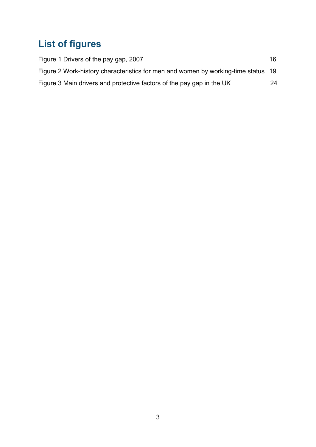# <span id="page-3-0"></span>**List of figures**

| Figure 1 Drivers of the pay gap, 2007                                             | 16 |
|-----------------------------------------------------------------------------------|----|
| Figure 2 Work-history characteristics for men and women by working-time status 19 |    |
| Figure 3 Main drivers and protective factors of the pay gap in the UK             | 24 |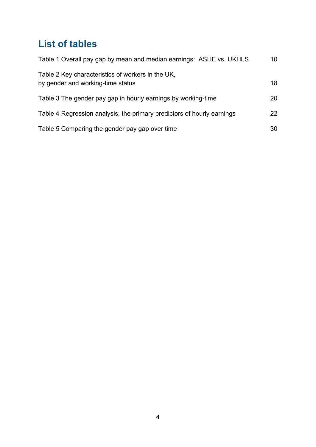# <span id="page-4-0"></span>**List of tables**

| Table 1 Overall pay gap by mean and median earnings: ASHE vs. UKHLS                    | 10 |
|----------------------------------------------------------------------------------------|----|
| Table 2 Key characteristics of workers in the UK,<br>by gender and working-time status | 18 |
| Table 3 The gender pay gap in hourly earnings by working-time                          | 20 |
| Table 4 Regression analysis, the primary predictors of hourly earnings                 | 22 |
| Table 5 Comparing the gender pay gap over time                                         | 30 |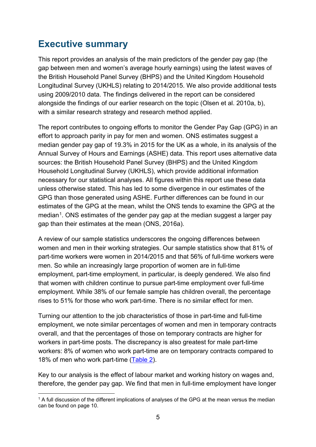# <span id="page-5-0"></span>**Executive summary**

This report provides an analysis of the main predictors of the gender pay gap (the gap between men and women's average hourly earnings) using the latest waves of the British Household Panel Survey (BHPS) and the United Kingdom Household Longitudinal Survey (UKHLS) relating to 2014/2015. We also provide additional tests using 2009/2010 data. The findings delivered in the report can be considered alongside the findings of our earlier research on the topic (Olsen et al. 2010a, b), with a similar research strategy and research method applied.

The report contributes to ongoing efforts to monitor the Gender Pay Gap (GPG) in an effort to approach parity in pay for men and women. ONS estimates suggest a median gender pay gap of 19.3% in 2015 for the UK as a whole, in its analysis of the Annual Survey of Hours and Earnings (ASHE) data. This report uses alternative data sources: the British Household Panel Survey (BHPS) and the United Kingdom Household Longitudinal Survey (UKHLS), which provide additional information necessary for our statistical analyses. All figures within this report use these data unless otherwise stated. This has led to some divergence in our estimates of the GPG than those generated using ASHE. Further differences can be found in our estimates of the GPG at the mean, whilst the ONS tends to examine the GPG at the median<sup>[1](#page-5-1)</sup>. ONS estimates of the gender pay gap at the median suggest a larger pay gap than their estimates at the mean (ONS, 2016a).

A review of our sample statistics underscores the ongoing differences between women and men in their working strategies. Our sample statistics show that 81% of part-time workers were women in 2014/2015 and that 56% of full-time workers were men. So while an increasingly large proportion of women are in full-time employment, part-time employment, in particular, is deeply gendered. We also find that women with children continue to pursue part-time employment over full-time employment. While 38% of our female sample has children overall, the percentage rises to 51% for those who work part-time. There is no similar effect for men.

Turning our attention to the job characteristics of those in part-time and full-time employment, we note similar percentages of women and men in temporary contracts overall, and that the percentages of those on temporary contracts are higher for workers in part-time posts. The discrepancy is also greatest for male part-time workers: 8% of women who work part-time are on temporary contracts compared to 18% of men who work part-time [\(Table 2\)](#page-18-1).

Key to our analysis is the effect of labour market and working history on wages and, therefore, the gender pay gap. We find that men in full-time employment have longer

<span id="page-5-1"></span><sup>&</sup>lt;sup>1</sup> A full discussion of the different implications of analyses of the GPG at the mean versus the median can be found on page 10.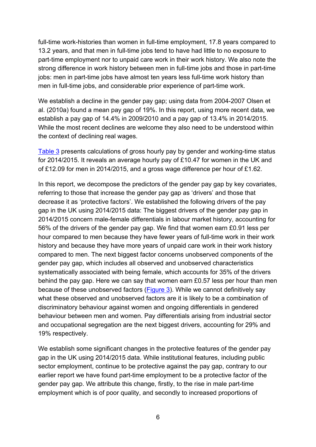full-time work-histories than women in full-time employment, 17.8 years compared to 13.2 years, and that men in full-time jobs tend to have had little to no exposure to part-time employment nor to unpaid care work in their work history. We also note the strong difference in work history between men in full-time jobs and those in part-time jobs: men in part-time jobs have almost ten years less full-time work history than men in full-time jobs, and considerable prior experience of part-time work.

We establish a decline in the gender pay gap; using data from 2004-2007 Olsen et al. (2010a) found a mean pay gap of 19%. In this report, using more recent data, we establish a pay gap of 14.4% in 2009/2010 and a pay gap of 13.4% in 2014/2015. While the most recent declines are welcome they also need to be understood within the context of declining real wages.

[Table 3](#page-20-1) presents calculations of gross hourly pay by gender and working-time status for 2014/2015. It reveals an average hourly pay of £10.47 for women in the UK and of £12.09 for men in 2014/2015, and a gross wage difference per hour of £1.62.

In this report, we decompose the predictors of the gender pay gap by key covariates, referring to those that increase the gender pay gap as 'drivers' and those that decrease it as 'protective factors'. We established the following drivers of the pay gap in the UK using 2014/2015 data: The biggest drivers of the gender pay gap in 2014/2015 concern male-female differentials in labour market history, accounting for 56% of the drivers of the gender pay gap. We find that women earn £0.91 less per hour compared to men because they have fewer years of full-time work in their work history and because they have more years of unpaid care work in their work history compared to men. The next biggest factor concerns unobserved components of the gender pay gap, which includes all observed and unobserved characteristics systematically associated with being female, which accounts for 35% of the drivers behind the pay gap. Here we can say that women earn £0.57 less per hour than men because of these unobserved factors [\(Figure 3\)](#page-24-1). While we cannot definitively say what these observed and unobserved factors are it is likely to be a combination of discriminatory behaviour against women and ongoing differentials in gendered behaviour between men and women. Pay differentials arising from industrial sector and occupational segregation are the next biggest drivers, accounting for 29% and 19% respectively.

We establish some significant changes in the protective features of the gender pay gap in the UK using 2014/2015 data. While institutional features, including public sector employment, continue to be protective against the pay gap, contrary to our earlier report we have found part-time employment to be a protective factor of the gender pay gap. We attribute this change, firstly, to the rise in male part-time employment which is of poor quality, and secondly to increased proportions of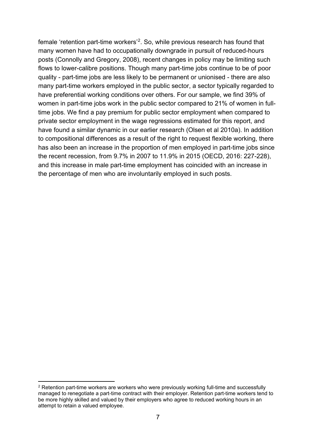female 'retention part-time workers'[2](#page-7-0). So, while previous research has found that many women have had to occupationally downgrade in pursuit of reduced-hours posts (Connolly and Gregory, 2008), recent changes in policy may be limiting such flows to lower-calibre positions. Though many part-time jobs continue to be of poor quality - part-time jobs are less likely to be permanent or unionised - there are also many part-time workers employed in the public sector, a sector typically regarded to have preferential working conditions over others. For our sample, we find 39% of women in part-time jobs work in the public sector compared to 21% of women in fulltime jobs. We find a pay premium for public sector employment when compared to private sector employment in the wage regressions estimated for this report, and have found a similar dynamic in our earlier research (Olsen et al 2010a). In addition to compositional differences as a result of the right to request flexible working, there has also been an increase in the proportion of men employed in part-time jobs since the recent recession, from 9.7% in 2007 to 11.9% in 2015 (OECD, 2016: 227-228), and this increase in male part-time employment has coincided with an increase in the percentage of men who are involuntarily employed in such posts.

<span id="page-7-0"></span> <sup>2</sup> Retention part-time workers are workers who were previously working full-time and successfully managed to renegotiate a part-time contract with their employer. Retention part-time workers tend to be more highly skilled and valued by their employers who agree to reduced working hours in an attempt to retain a valued employee.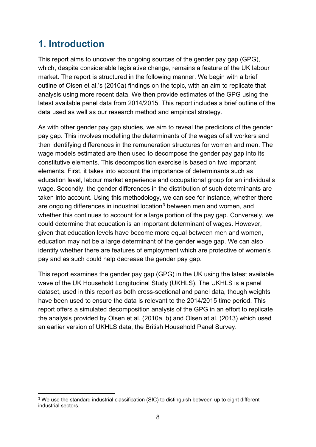# <span id="page-8-0"></span>**1. Introduction**

This report aims to uncover the ongoing sources of the gender pay gap (GPG), which, despite considerable legislative change, remains a feature of the UK labour market. The report is structured in the following manner. We begin with a brief outline of Olsen et al.'s (2010a) findings on the topic, with an aim to replicate that analysis using more recent data. We then provide estimates of the GPG using the latest available panel data from 2014/2015. This report includes a brief outline of the data used as well as our research method and empirical strategy.

As with other gender pay gap studies, we aim to reveal the predictors of the gender pay gap. This involves modelling the determinants of the wages of all workers and then identifying differences in the remuneration structures for women and men. The wage models estimated are then used to decompose the gender pay gap into its constitutive elements. This decomposition exercise is based on two important elements. First, it takes into account the importance of determinants such as education level, labour market experience and occupational group for an individual's wage. Secondly, the gender differences in the distribution of such determinants are taken into account. Using this methodology, we can see for instance, whether there are ongoing differences in industrial location<sup>[3](#page-8-1)</sup> between men and women, and whether this continues to account for a large portion of the pay gap. Conversely, we could determine that education is an important determinant of wages. However, given that education levels have become more equal between men and women, education may not be a large determinant of the gender wage gap. We can also identify whether there are features of employment which are protective of women's pay and as such could help decrease the gender pay gap.

This report examines the gender pay gap (GPG) in the UK using the latest available wave of the UK Household Longitudinal Study (UKHLS). The UKHLS is a panel dataset, used in this report as both cross-sectional and panel data, though weights have been used to ensure the data is relevant to the 2014/2015 time period. This report offers a simulated decomposition analysis of the GPG in an effort to replicate the analysis provided by Olsen et al. (2010a, b) and Olsen at al. (2013) which used an earlier version of UKHLS data, the British Household Panel Survey.

<span id="page-8-1"></span><sup>&</sup>lt;sup>3</sup> We use the standard industrial classification (SIC) to distinguish between up to eight different industrial sectors.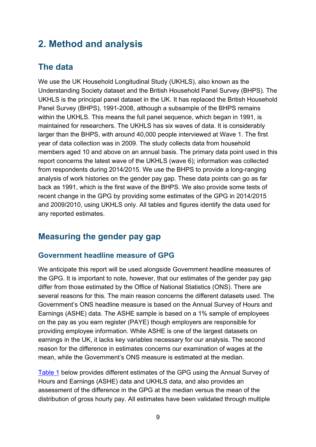# <span id="page-9-0"></span>**2. Method and analysis**

## <span id="page-9-1"></span>**The data**

We use the UK Household Longitudinal Study (UKHLS), also known as the Understanding Society dataset and the British Household Panel Survey (BHPS). The UKHLS is the principal panel dataset in the UK. It has replaced the British Household Panel Survey (BHPS), 1991-2008, although a subsample of the BHPS remains within the UKHLS. This means the full panel sequence, which began in 1991, is maintained for researchers. The UKHLS has six waves of data. It is considerably larger than the BHPS, with around 40,000 people interviewed at Wave 1. The first year of data collection was in 2009. The study collects data from household members aged 10 and above on an annual basis. The primary data point used in this report concerns the latest wave of the UKHLS (wave 6); information was collected from respondents during 2014/2015. We use the BHPS to provide a long-ranging analysis of work histories on the gender pay gap. These data points can go as far back as 1991, which is the first wave of the BHPS. We also provide some tests of recent change in the GPG by providing some estimates of the GPG in 2014/2015 and 2009/2010, using UKHLS only. All tables and figures identify the data used for any reported estimates.

## <span id="page-9-2"></span>**Measuring the gender pay gap**

## <span id="page-9-3"></span>**Government headline measure of GPG**

We anticipate this report will be used alongside Government headline measures of the GPG. It is important to note, however, that our estimates of the gender pay gap differ from those estimated by the Office of National Statistics (ONS). There are several reasons for this. The main reason concerns the different datasets used. The Government's ONS headline measure is based on the Annual Survey of Hours and Earnings (ASHE) data. The ASHE sample is based on a 1% sample of employees on the pay as you earn register (PAYE) though employers are responsible for providing employee information. While ASHE is one of the largest datasets on earnings in the UK, it lacks key variables necessary for our analysis. The second reason for the difference in estimates concerns our examination of wages at the mean, while the Government's ONS measure is estimated at the median.

[Table 1](#page-10-0) below provides different estimates of the GPG using the Annual Survey of Hours and Earnings (ASHE) data and UKHLS data, and also provides an assessment of the difference in the GPG at the median versus the mean of the distribution of gross hourly pay. All estimates have been validated through multiple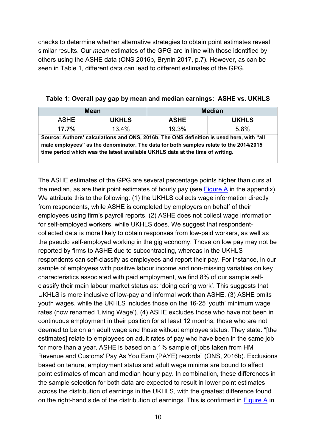checks to determine whether alternative strategies to obtain point estimates reveal similar results. Our *mean* estimates of the GPG are in line with those identified by others using the ASHE data (ONS 2016b, Brynin 2017, p.7). However, as can be seen in Table 1, different data can lead to different estimates of the GPG.

| Mean                                                                                                                                                                                                                                                               |              | <b>Median</b> |              |  |  |  |  |
|--------------------------------------------------------------------------------------------------------------------------------------------------------------------------------------------------------------------------------------------------------------------|--------------|---------------|--------------|--|--|--|--|
| <b>ASHE</b>                                                                                                                                                                                                                                                        | <b>UKHLS</b> | <b>ASHE</b>   | <b>UKHLS</b> |  |  |  |  |
| 17.7%                                                                                                                                                                                                                                                              | 13.4%        | 19.3%         | 5.8%         |  |  |  |  |
| Source: Authors' calculations and ONS, 2016b. The ONS definition is used here, with "all<br>male employees" as the denominator. The data for both samples relate to the 2014/2015<br>time period which was the latest available UKHLS data at the time of writing. |              |               |              |  |  |  |  |

<span id="page-10-0"></span>**Table 1: Overall pay gap by mean and median earnings: ASHE vs. UKHLS**

The ASHE estimates of the GPG are several percentage points higher than ours at the median, as are their point estimates of hourly pay (see [Figure A](#page-31-1) in the appendix). We attribute this to the following: (1) the UKHLS collects wage information directly from respondents, while ASHE is completed by employers on behalf of their employees using firm's payroll reports. (2) ASHE does not collect wage information for self-employed workers, while UKHLS does. We suggest that respondentcollected data is more likely to obtain responses from low-paid workers, as well as the pseudo self-employed working in the gig economy. Those on low pay may not be reported by firms to ASHE due to subcontracting, whereas in the UKHLS respondents can self-classify as employees and report their pay. For instance, in our sample of employees with positive labour income and non-missing variables on key characteristics associated with paid employment, we find 8% of our sample selfclassify their main labour market status as: 'doing caring work'. This suggests that UKHLS is more inclusive of low-pay and informal work than ASHE. (3) ASHE omits youth wages, while the UKHLS includes those on the 16-25 'youth' minimum wage rates (now renamed 'Living Wage'). (4) ASHE excludes those who have not been in continuous employment in their position for at least 12 months, those who are not deemed to be on an adult wage and those without employee status. They state: "[the estimates] relate to employees on adult rates of pay who have been in the same job for more than a year. ASHE is based on a 1% sample of jobs taken from HM Revenue and Customs' Pay As You Earn (PAYE) records" (ONS, 2016b). Exclusions based on tenure, employment status and adult wage minima are bound to affect point estimates of mean and median hourly pay. In combination, these differences in the sample selection for both data are expected to result in lower point estimates across the distribution of earnings in the UKHLS, with the greatest difference found on the right-hand side of the distribution of earnings. This is confirmed in [Figure A](#page-31-1) in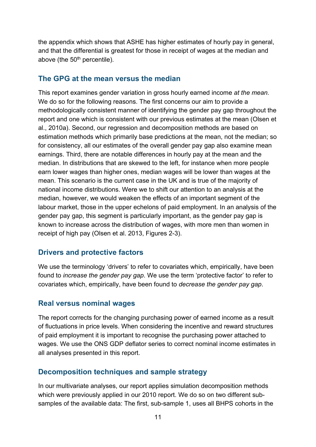the appendix which shows that ASHE has higher estimates of hourly pay in general, and that the differential is greatest for those in receipt of wages at the median and above (the 50<sup>th</sup> percentile).

## <span id="page-11-0"></span>**The GPG at the mean versus the median**

This report examines gender variation in gross hourly earned income *at the mean.* We do so for the following reasons. The first concerns our aim to provide a methodologically consistent manner of identifying the gender pay gap throughout the report and one which is consistent with our previous estimates at the mean (Olsen et al., 2010a). Second, our regression and decomposition methods are based on estimation methods which primarily base predictions at the mean, not the median; so for consistency, all our estimates of the overall gender pay gap also examine mean earnings. Third, there are notable differences in hourly pay at the mean and the median. In distributions that are skewed to the left, for instance when more people earn lower wages than higher ones, median wages will be lower than wages at the mean. This scenario is the current case in the UK and is true of the majority of national income distributions. Were we to shift our attention to an analysis at the median, however, we would weaken the effects of an important segment of the labour market, those in the upper echelons of paid employment. In an analysis of the gender pay gap, this segment is particularly important, as the gender pay gap is known to increase across the distribution of wages, with more men than women in receipt of high pay (Olsen et al. 2013, Figures 2-3).

## <span id="page-11-1"></span>**Drivers and protective factors**

We use the terminology 'drivers' to refer to covariates which, empirically, have been found to *increase the gender pay gap*. We use the term 'protective factor' to refer to covariates which, empirically, have been found to *decrease the gender pay gap*.

## <span id="page-11-2"></span>**Real versus nominal wages**

The report corrects for the changing purchasing power of earned income as a result of fluctuations in price levels. When considering the incentive and reward structures of paid employment it is important to recognise the purchasing power attached to wages. We use the ONS GDP deflator series to correct nominal income estimates in all analyses presented in this report.

## <span id="page-11-3"></span>**Decomposition techniques and sample strategy**

In our multivariate analyses, our report applies simulation decomposition methods which were previously applied in our 2010 report. We do so on two different subsamples of the available data: The first, sub-sample 1, uses all BHPS cohorts in the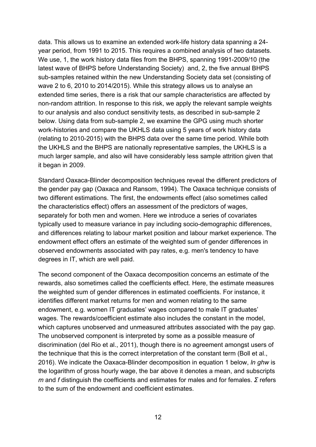data. This allows us to examine an extended work-life history data spanning a 24 year period, from 1991 to 2015. This requires a combined analysis of two datasets. We use, 1, the work history data files from the BHPS, spanning 1991-2009/10 (the latest wave of BHPS before Understanding Society) and, 2, the five annual BHPS sub-samples retained within the new Understanding Society data set (consisting of wave 2 to 6, 2010 to 2014/2015). While this strategy allows us to analyse an extended time series, there is a risk that our sample characteristics are affected by non-random attrition. In response to this risk, we apply the relevant sample weights to our analysis and also conduct sensitivity tests, as described in sub-sample 2 below. Using data from sub-sample 2, we examine the GPG using much shorter work-histories and compare the UKHLS data using 5 years of work history data (relating to 2010-2015) with the BHPS data over the same time period. While both the UKHLS and the BHPS are nationally representative samples, the UKHLS is a much larger sample, and also will have considerably less sample attrition given that it began in 2009.

Standard Oaxaca-Blinder decomposition techniques reveal the different predictors of the gender pay gap (Oaxaca and Ransom, 1994). The Oaxaca technique consists of two different estimations. The first, the endowments effect (also sometimes called the characteristics effect) offers an assessment of the predictors of wages, separately for both men and women. Here we introduce a series of covariates typically used to measure variance in pay including socio-demographic differences, and differences relating to labour market position and labour market experience. The endowment effect offers an estimate of the weighted sum of gender differences in observed endowments associated with pay rates, e.g. men's tendency to have degrees in IT, which are well paid.

The second component of the Oaxaca decomposition concerns an estimate of the rewards, also sometimes called the coefficients effect. Here, the estimate measures the weighted sum of gender differences in estimated coefficients. For instance, it identifies different market returns for men and women relating to the same endowment, e.g. women IT graduates' wages compared to male IT graduates' wages. The rewards/coefficient estimate also includes the constant in the model, which captures unobserved and unmeasured attributes associated with the pay gap. The unobserved component is interpreted by some as a possible measure of discrimination (del Rio et al., 2011), though there is no agreement amongst users of the technique that this is the correct interpretation of the constant term (Boll et al., 2016). We indicate the Oaxaca-Blinder decomposition in equation 1 below, *ln ghw* is the logarithm of gross hourly wage, the bar above it denotes a mean, and subscripts *m* and *f* distinguish the coefficients and estimates for males and for females. *Σ* refers to the sum of the endowment and coefficient estimates.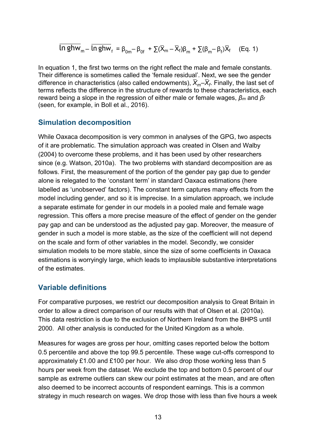$$
\overline{\ln ghw}_{m} - \overline{\ln ghw}_{f} = \beta_{0m} - \beta_{0f} + \sum(\overline{X}_{m} - \overline{X}_{f})\beta_{m} + \sum(\beta_{m} - \beta_{f})\overline{X}_{f}
$$
 (Eq. 1)

In equation 1, the first two terms on the right reflect the male and female constants. Their difference is sometimes called the 'female residual'. Next, we see the gender difference in characteristics (also called endowments),  $\overline{X}_m - \overline{X}_f$ . Finally, the last set of terms reflects the difference in the structure of rewards to these characteristics, each reward being a slope in the regression of either male or female wages, *β<sup>m</sup>* and *β<sup>f</sup>* (seen, for example, in Boll et al., 2016).

### <span id="page-13-0"></span>**Simulation decomposition**

While Oaxaca decomposition is very common in analyses of the GPG, two aspects of it are problematic. The simulation approach was created in Olsen and Walby (2004) to overcome these problems, and it has been used by other researchers since (e.g. Watson, 2010a). The two problems with standard decomposition are as follows. First, the measurement of the portion of the gender pay gap due to gender alone is relegated to the 'constant term' in standard Oaxaca estimations (here labelled as 'unobserved' factors). The constant term captures many effects from the model including gender, and so it is imprecise. In a simulation approach, we include a separate estimate for gender in our models in a pooled male and female wage regression. This offers a more precise measure of the effect of gender on the gender pay gap and can be understood as the adjusted pay gap. Moreover, the measure of gender in such a model is more stable, as the size of the coefficient will not depend on the scale and form of other variables in the model. Secondly, we consider simulation models to be more stable, since the size of some coefficients in Oaxaca estimations is worryingly large, which leads to implausible substantive interpretations of the estimates.

### <span id="page-13-1"></span>**Variable definitions**

For comparative purposes, we restrict our decomposition analysis to Great Britain in order to allow a direct comparison of our results with that of Olsen et al. (2010a). This data restriction is due to the exclusion of Northern Ireland from the BHPS until 2000. All other analysis is conducted for the United Kingdom as a whole.

Measures for wages are gross per hour, omitting cases reported below the bottom 0.5 percentile and above the top 99.5 percentile. These wage cut-offs correspond to approximately £1.00 and £100 per hour. We also drop those working less than 5 hours per week from the dataset. We exclude the top and bottom 0.5 percent of our sample as extreme outliers can skew our point estimates at the mean, and are often also deemed to be incorrect accounts of respondent earnings. This is a common strategy in much research on wages. We drop those with less than five hours a week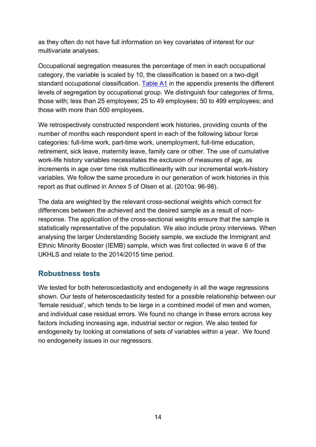as they often do not have full information on key covariates of interest for our multivariate analyses.

Occupational segregation measures the percentage of men in each occupational category, the variable is scaled by 10, the classification is based on a two-digit standard occupational classification. [Table A1](#page-32-0) in the appendix presents the different levels of segregation by occupational group. We distinguish four categories of firms, those with; less than 25 employees; 25 to 49 employees; 50 to 499 employees; and those with more than 500 employees.

We retrospectively constructed respondent work histories, providing counts of the number of months each respondent spent in each of the following labour force categories: full-time work, part-time work, unemployment, full-time education, retirement, sick leave, maternity leave, family care or other. The use of cumulative work-life history variables necessitates the exclusion of measures of age, as increments in age over time risk multicollinearity with our incremental work-history variables. We follow the same procedure in our generation of work histories in this report as that outlined in Annex 5 of Olsen et al. (2010a: 96-98).

The data are weighted by the relevant cross-sectional weights which correct for differences between the achieved and the desired sample as a result of nonresponse. The application of the cross-sectional weights ensure that the sample is statistically representative of the population. We also include proxy interviews. When analysing the larger Understanding Society sample, we exclude the Immigrant and Ethnic Minority Booster (IEMB) sample, which was first collected in wave 6 of the UKHLS and relate to the 2014/2015 time period.

## <span id="page-14-0"></span>**Robustness tests**

We tested for both heteroscedasticity and endogeneity in all the wage regressions shown. Our tests of heteroscedasticity tested for a possible relationship between our 'female residual', which tends to be large in a combined model of men and women, and individual case residual errors. We found no change in these errors across key factors including increasing age, industrial sector or region. We also tested for endogeneity by looking at correlations of sets of variables within a year. We found no endogeneity issues in our regressors.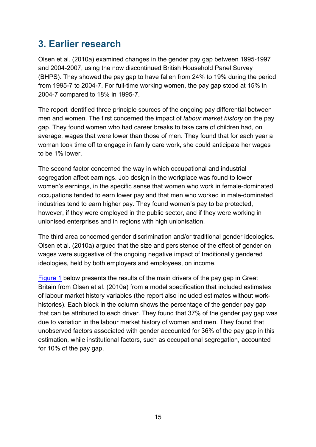# <span id="page-15-0"></span>**3. Earlier research**

Olsen et al. (2010a) examined changes in the gender pay gap between 1995-1997 and 2004-2007, using the now discontinued British Household Panel Survey (BHPS). They showed the pay gap to have fallen from 24% to 19% during the period from 1995-7 to 2004-7. For full-time working women, the pay gap stood at 15% in 2004-7 compared to 18% in 1995-7.

The report identified three principle sources of the ongoing pay differential between men and women. The first concerned the impact of *labour market history* on the pay gap. They found women who had career breaks to take care of children had, on average, wages that were lower than those of men. They found that for each year a woman took time off to engage in family care work, she could anticipate her wages to be 1% lower.

The second factor concerned the way in which occupational and industrial segregation affect earnings. Job design in the workplace was found to lower women's earnings, in the specific sense that women who work in female-dominated occupations tended to earn lower pay and that men who worked in male-dominated industries tend to earn higher pay. They found women's pay to be protected, however, if they were employed in the public sector, and if they were working in unionised enterprises and in regions with high unionisation.

The third area concerned gender discrimination and/or traditional gender ideologies. Olsen et al. (2010a) argued that the size and persistence of the effect of gender on wages were suggestive of the ongoing negative impact of traditionally gendered ideologies, held by both employers and employees, on income.

[Figure 1](#page-16-0) below presents the results of the main drivers of the pay gap in Great Britain from Olsen et al. (2010a) from a model specification that included estimates of labour market history variables (the report also included estimates without workhistories). Each block in the column shows the percentage of the gender pay gap that can be attributed to each driver. They found that 37% of the gender pay gap was due to variation in the labour market history of women and men. They found that unobserved factors associated with gender accounted for 36% of the pay gap in this estimation, while institutional factors, such as occupational segregation, accounted for 10% of the pay gap.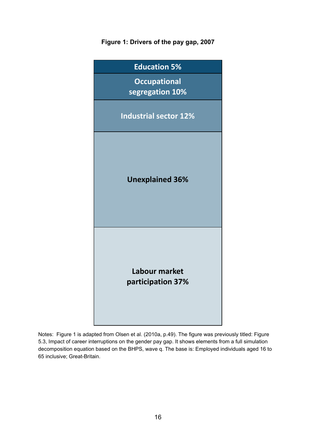## <span id="page-16-0"></span>**Figure 1: Drivers of the pay gap, 2007**



Notes: Figure 1 is adapted from Olsen et al. (2010a, p.49). The figure was previously titled: Figure 5.3, Impact of career interruptions on the gender pay gap. It shows elements from a full simulation decomposition equation based on the BHPS, wave q. The base is: Employed individuals aged 16 to 65 inclusive; Great-Britain.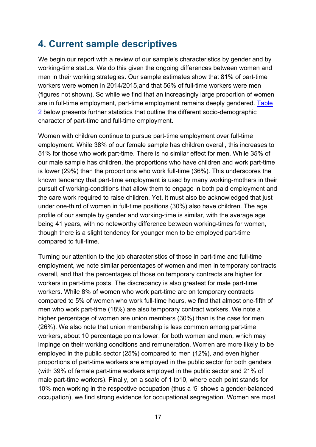# <span id="page-17-0"></span>**4. Current sample descriptives**

We begin our report with a review of our sample's characteristics by gender and by working-time status. We do this given the ongoing differences between women and men in their working strategies. Our sample estimates show that 81% of part-time workers were women in 2014/2015,and that 56% of full-time workers were men (figures not shown). So while we find that an increasingly large proportion of women are in full-time employment, part-time employment remains deeply gendered. [Table](#page-18-1)  [2](#page-18-1) below presents further statistics that outline the different socio-demographic character of part-time and full-time employment.

Women with children continue to pursue part-time employment over full-time employment. While 38% of our female sample has children overall, this increases to 51% for those who work part-time. There is no similar effect for men. While 35% of our male sample has children, the proportions who have children and work part-time is lower (29%) than the proportions who work full-time (36%). This underscores the known tendency that part-time employment is used by many working-mothers in their pursuit of working-conditions that allow them to engage in both paid employment and the care work required to raise children. Yet, it must also be acknowledged that just under one-third of women in full-time positions (30%) also have children. The age profile of our sample by gender and working-time is similar, with the average age being 41 years, with no noteworthy difference between working-times for women, though there is a slight tendency for younger men to be employed part-time compared to full-time.

Turning our attention to the job characteristics of those in part-time and full-time employment, we note similar percentages of women and men in temporary contracts overall, and that the percentages of those on temporary contracts are higher for workers in part-time posts. The discrepancy is also greatest for male part-time workers. While 8% of women who work part-time are on temporary contracts compared to 5% of women who work full-time hours, we find that almost one-fifth of men who work part-time (18%) are also temporary contract workers. We note a higher percentage of women are union members (30%) than is the case for men (26%). We also note that union membership is less common among part-time workers, about 10 percentage points lower, for both women and men, which may impinge on their working conditions and remuneration. Women are more likely to be employed in the public sector (25%) compared to men (12%), and even higher proportions of part-time workers are employed in the public sector for both genders (with 39% of female part-time workers employed in the public sector and 21% of male part-time workers). Finally, on a scale of 1 to10, where each point stands for 10% men working in the respective occupation (thus a '5' shows a gender-balanced occupation), we find strong evidence for occupational segregation. Women are most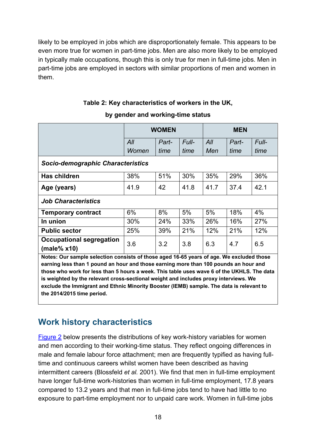likely to be employed in jobs which are disproportionately female. This appears to be even more true for women in part-time jobs. Men are also more likely to be employed in typically male occupations, though this is only true for men in full-time jobs. Men in part-time jobs are employed in sectors with similar proportions of men and women in them.

## **Table 2: Key characteristics of workers in the UK,**

<span id="page-18-1"></span>

|                                                                                            |       | <b>WOMEN</b> |       | <b>MEN</b> |       |       |  |  |  |
|--------------------------------------------------------------------------------------------|-------|--------------|-------|------------|-------|-------|--|--|--|
|                                                                                            | All   | Part-        | Full- | All        | Part- | Full- |  |  |  |
|                                                                                            | Women | time         | time  | Men        | time  | time  |  |  |  |
| <b>Socio-demographic Characteristics</b>                                                   |       |              |       |            |       |       |  |  |  |
| Has children                                                                               | 38%   | 51%          | 30%   | 35%        | 29%   | 36%   |  |  |  |
| Age (years)                                                                                | 41.9  | 42           | 41.8  | 41.7       | 37.4  | 42.1  |  |  |  |
| <b>Job Characteristics</b>                                                                 |       |              |       |            |       |       |  |  |  |
| <b>Temporary contract</b>                                                                  | 6%    | 8%           | 5%    | 5%         | 18%   | 4%    |  |  |  |
| In union                                                                                   | 30%   | 24%          | 33%   | 26%        | 16%   | 27%   |  |  |  |
| <b>Public sector</b>                                                                       | 25%   | 39%          | 21%   | 12%        | 21%   | 12%   |  |  |  |
| Occupational segregation                                                                   | 3.6   | 3.2          | 3.8   | 6.3        | 4.7   | 6.5   |  |  |  |
| (male% x10)                                                                                |       |              |       |            |       |       |  |  |  |
| Notes: Our sample selection consists of those aged 16-65 years of age. We excluded those   |       |              |       |            |       |       |  |  |  |
| earning less than 1 pound an hour and those earning more than 100 pounds an hour and       |       |              |       |            |       |       |  |  |  |
| those who work for less than 5 hours a week. This table uses wave 6 of the UKHLS. The data |       |              |       |            |       |       |  |  |  |
| is weighted by the relevant cross-sectional weight and includes proxy interviews. We       |       |              |       |            |       |       |  |  |  |
| exclude the Immigrant and Ethnic Minority Booster (IEMB) sample. The data is relevant to   |       |              |       |            |       |       |  |  |  |

#### **by gender and working-time status**

## <span id="page-18-0"></span>**Work history characteristics**

**the 2014/2015 time period.** 

[Figure 2](#page-19-0) below presents the distributions of key work-history variables for women and men according to their working-time status. They reflect ongoing differences in male and female labour force attachment; men are frequently typified as having fulltime and continuous careers whilst women have been described as having intermittent careers (Blossfeld *et al.* 2001). We find that men in full-time employment have longer full-time work-histories than women in full-time employment, 17.8 years compared to 13.2 years and that men in full-time jobs tend to have had little to no exposure to part-time employment nor to unpaid care work. Women in full-time jobs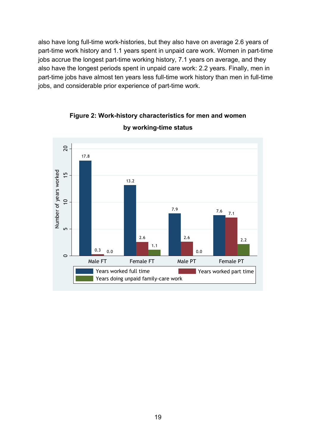also have long full-time work-histories, but they also have on average 2.6 years of part-time work history and 1.1 years spent in unpaid care work. Women in part-time jobs accrue the longest part-time working history, 7.1 years on average, and they also have the longest periods spent in unpaid care work: 2.2 years. Finally, men in part-time jobs have almost ten years less full-time work history than men in full-time jobs, and considerable prior experience of part-time work.

<span id="page-19-0"></span>

**Figure 2: Work-history characteristics for men and women by working-time status**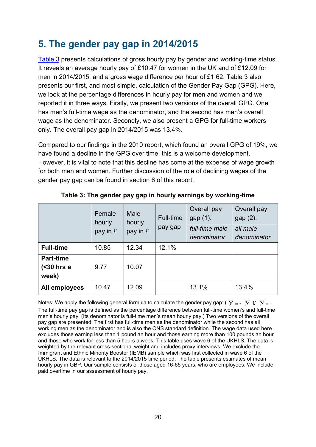# <span id="page-20-0"></span>**5. The gender pay gap in 2014/2015**

[Table 3](#page-20-1) presents calculations of gross hourly pay by gender and working-time status. It reveals an average hourly pay of £10.47 for women in the UK and of £12.09 for men in 2014/2015, and a gross wage difference per hour of £1.62. Table 3 also presents our first, and most simple, calculation of the Gender Pay Gap (GPG). Here, we look at the percentage differences in hourly pay for men and women and we reported it in three ways. Firstly, we present two versions of the overall GPG. One has men's full-time wage as the denominator, and the second has men's overall wage as the denominator. Secondly, we also present a GPG for full-time workers only. The overall pay gap in 2014/2015 was 13.4%.

Compared to our findings in the 2010 report, which found an overall GPG of 19%, we have found a decline in the GPG over time, this is a welcome development. However, it is vital to note that this decline has come at the expense of wage growth for both men and women. Further discussion of the role of declining wages of the gender pay gap can be found in section 8 of this report.

<span id="page-20-1"></span>

|                                         | Female<br>hourly<br>pay in £ | Male<br>hourly<br>pay in £ | <b>Full-time</b><br>pay gap | Overall pay<br>gap $(1)$ :<br>full-time male<br>denominator | Overall pay<br>gap $(2)$ :<br>all male<br>denominator |
|-----------------------------------------|------------------------------|----------------------------|-----------------------------|-------------------------------------------------------------|-------------------------------------------------------|
| <b>Full-time</b>                        | 10.85                        | 12.34                      | 12.1%                       |                                                             |                                                       |
| <b>Part-time</b><br>$30$ hrs a<br>week) | 9.77                         | 10.07                      |                             |                                                             |                                                       |
| All employees                           | 10.47                        | 12.09                      |                             | 13.1%                                                       | 13.4%                                                 |

**Table 3: The gender pay gap in hourly earnings by working-time**

Notes: We apply the following general formula to calculate the gender pay gap:  $(\overline{y}_{m} - \overline{y}_{f})/\overline{y}_{m}$ . The full-time pay gap is defined as the percentage difference between full-time women's and full-time men's hourly pay. (Its denominator is full-time men's mean hourly pay.) Two versions of the overall pay gap are presented. The first has full-time men as the denominator while the second has all working men as the denominator and is also the ONS standard definition. The wage data used here excludes those earning less than 1 pound an hour and those earning more than 100 pounds an hour and those who work for less than 5 hours a week. This table uses wave 6 of the UKHLS. The data is weighted by the relevant cross-sectional weight and includes proxy interviews. We exclude the Immigrant and Ethnic Minority Booster (IEMB) sample which was first collected in wave 6 of the UKHLS. The data is relevant to the 2014/2015 time period. The table presents estimates of mean hourly pay in GBP. Our sample consists of those aged 16-65 years, who are employees. We include paid overtime in our assessment of hourly pay.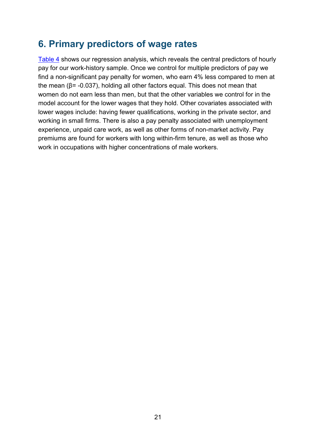# <span id="page-21-0"></span>**6. Primary predictors of wage rates**

[Table 4](#page-22-0) shows our regression analysis, which reveals the central predictors of hourly pay for our work-history sample. Once we control for multiple predictors of pay we find a non-significant pay penalty for women, who earn 4% less compared to men at the mean ( $β = -0.037$ ), holding all other factors equal. This does not mean that women do not earn less than men, but that the other variables we control for in the model account for the lower wages that they hold. Other covariates associated with lower wages include: having fewer qualifications, working in the private sector, and working in small firms. There is also a pay penalty associated with unemployment experience, unpaid care work, as well as other forms of non-market activity. Pay premiums are found for workers with long within-firm tenure, as well as those who work in occupations with higher concentrations of male workers.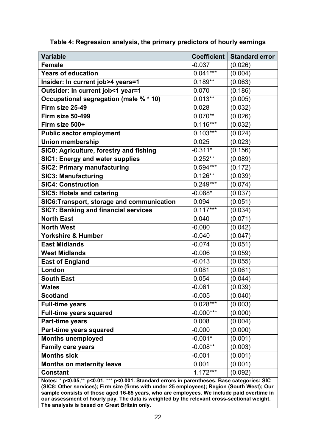| <b>Variable</b>                                                                              | <b>Coefficient</b> | <b>Standard error</b> |
|----------------------------------------------------------------------------------------------|--------------------|-----------------------|
| <b>Female</b>                                                                                | $-0.037$           | (0.026)               |
| <b>Years of education</b>                                                                    | $0.041***$         | (0.004)               |
| Insider: In current job>4 years=1                                                            | $0.189**$          | (0.063)               |
| Outsider: In current job<1 year=1                                                            | 0.070              | (0.186)               |
| Occupational segregation (male % * 10)                                                       | $0.013**$          | (0.005)               |
| Firm size 25-49                                                                              | 0.028              | (0.032)               |
| Firm size 50-499                                                                             | $0.070**$          | (0.026)               |
| Firm size 500+                                                                               | $0.116***$         | (0.032)               |
| <b>Public sector employment</b>                                                              | $0.103***$         | (0.024)               |
| <b>Union membership</b>                                                                      | 0.025              | (0.023)               |
| SIC0: Agriculture, forestry and fishing                                                      | $-0.311*$          | (0.156)               |
| <b>SIC1: Energy and water supplies</b>                                                       | $0.252**$          | (0.089)               |
| <b>SIC2: Primary manufacturing</b>                                                           | $0.594***$         | (0.172)               |
| <b>SIC3: Manufacturing</b>                                                                   | $0.126**$          | (0.039)               |
| <b>SIC4: Construction</b>                                                                    | $0.249***$         | (0.074)               |
| <b>SIC5: Hotels and catering</b>                                                             | $-0.088*$          | (0.037)               |
| SIC6: Transport, storage and communication                                                   | 0.094              | (0.051)               |
| <b>SIC7: Banking and financial services</b>                                                  | $0.117***$         | (0.034)               |
| <b>North East</b>                                                                            | 0.040              | (0.071)               |
| <b>North West</b>                                                                            | $-0.080$           | (0.042)               |
| Yorkshire & Humber                                                                           | $-0.040$           | (0.047)               |
| <b>East Midlands</b>                                                                         | $-0.074$           | (0.051)               |
| <b>West Midlands</b>                                                                         | $-0.006$           | (0.059)               |
| <b>East of England</b>                                                                       | $-0.013$           | (0.055)               |
| London                                                                                       | 0.081              | (0.061)               |
| <b>South East</b>                                                                            | 0.054              | (0.044)               |
| <b>Wales</b>                                                                                 | $-0.061$           | (0.039)               |
| <b>Scotland</b>                                                                              | $-0.005$           | (0.040)               |
| <b>Full-time years</b>                                                                       | $0.028***$         | (0.003)               |
| <b>Full-time years squared</b>                                                               | $-0.000***$        | (0.000)               |
| Part-time years                                                                              | 0.008              | (0.004)               |
| Part-time years squared                                                                      | $-0.000$           | (0.000)               |
| <b>Months unemployed</b>                                                                     | $-0.001*$          | (0.001)               |
| <b>Family care years</b>                                                                     | $-0.008**$         | (0.003)               |
| <b>Months sick</b>                                                                           | $-0.001$           | (0.001)               |
| <b>Months on maternity leave</b>                                                             | 0.001              | (0.001)               |
| <b>Constant</b>                                                                              | $1.172***$         | (0.092)               |
| Notes: * p<0.05,** p<0.01, *** p<0.001, Standard errors in parentheses. Base categories: SIC |                    |                       |

<span id="page-22-0"></span>

| Table 4: Regression analysis, the primary predictors of hourly earnings |  |  |
|-------------------------------------------------------------------------|--|--|
|                                                                         |  |  |

**Notes: \* p<0.05,\*\* p<0.01, \*\*\* p<0.001. Standard errors in parentheses. Base categories: SIC (SIC8: Other services); Firm size (firms with under 25 employees); Region (South West); Our sample consists of those aged 16-65 years, who are employees. We include paid overtime in our assessment of hourly pay. The data is weighted by the relevant cross-sectional weight. The analysis is based on Great Britain only.**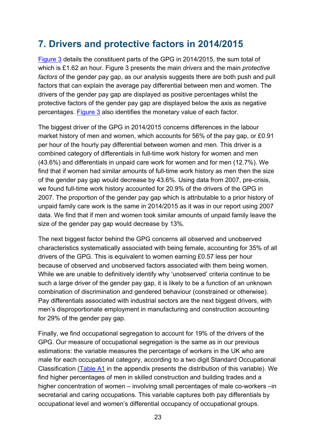# <span id="page-23-0"></span>**7. Drivers and protective factors in 2014/2015**

[Figure 3](#page-24-1) details the constituent parts of the GPG in 2014/2015, the sum total of which is £1.62 an hour. Figure 3 presents the main *drivers* and the main *protective factors* of the gender pay gap, as our analysis suggests there are both push and pull factors that can explain the average pay differential between men and women. The drivers of the gender pay gap are displayed as positive percentages whilst the protective factors of the gender pay gap are displayed below the axis as negative percentages. [Figure](#page-24-1) 3 also identifies the monetary value of each factor.

The biggest driver of the GPG in 2014/2015 concerns differences in the labour market history of men and women, which accounts for 56% of the pay gap, or £0.91 per hour of the hourly pay differential between women and men. This driver is a combined category of differentials in full-time work history for women and men (43.6%) and differentials in unpaid care work for women and for men (12.7%). We find that if women had similar amounts of full-time work history as men then the size of the gender pay gap would decrease by 43.6%. Using data from 2007, pre-crisis, we found full-time work history accounted for 20.9% of the drivers of the GPG in 2007. The proportion of the gender pay gap which is attributable to a prior history of unpaid family care work is the same in 2014/2015 as it was in our report using 2007 data. We find that if men and women took similar amounts of unpaid family leave the size of the gender pay gap would decrease by 13%.

The next biggest factor behind the GPG concerns all observed and unobserved characteristics systematically associated with being female, accounting for 35% of all drivers of the GPG. This is equivalent to women earning £0.57 less per hour because of observed and unobserved factors associated with them being women. While we are unable to definitively identify why 'unobserved' criteria continue to be such a large driver of the gender pay gap, it is likely to be a function of an unknown combination of discrimination and gendered behaviour (constrained or otherwise). Pay differentials associated with industrial sectors are the next biggest drivers, with men's disproportionate employment in manufacturing and construction accounting for 29% of the gender pay gap.

Finally, we find occupational segregation to account for 19% of the drivers of the GPG. Our measure of occupational segregation is the same as in our previous estimations: the variable measures the percentage of workers in the UK who are male for each occupational category, according to a two digit Standard Occupational Classification [\(Table A1](#page-32-0) in the appendix presents the distribution of this variable). We find higher percentages of men in skilled construction and building trades and a higher concentration of women – involving small percentages of male co-workers –in secretarial and caring occupations. This variable captures both pay differentials by occupational level and women's differential occupancy of occupational groups.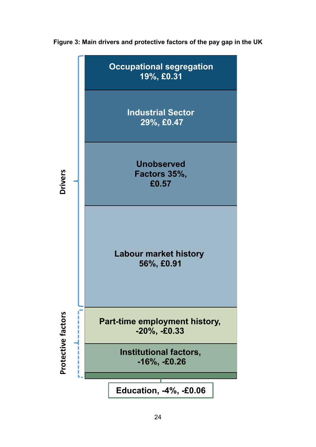<span id="page-24-0"></span>

<span id="page-24-1"></span>**Figure 3: Main drivers and protective factors of the pay gap in the UK**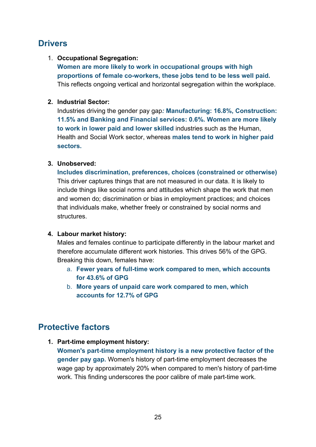## **Drivers**

## 1. **Occupational Segregation:**

**Women are more likely to work in occupational groups with high proportions of female co-workers, these jobs tend to be less well paid.**  This reflects ongoing vertical and horizontal segregation within the workplace.

## **2. Industrial Sector:**

Industries driving the gender pay gap*:* **Manufacturing: 16.8%, Construction: 11.5% and Banking and Financial services: 0.6%. Women are more likely to work in lower paid and lower skilled** industries such as the Human, Health and Social Work sector, whereas **males tend to work in higher paid sectors.**

## **3. Unobserved:**

**Includes discrimination, preferences, choices (constrained or otherwise)** This driver captures things that are not measured in our data. It is likely to include things like social norms and attitudes which shape the work that men and women do; discrimination or bias in employment practices; and choices that individuals make, whether freely or constrained by social norms and **structures** 

## **4. Labour market history:**

Males and females continue to participate differently in the labour market and therefore accumulate different work histories. This drives 56% of the GPG. Breaking this down, females have:

- a. **Fewer years of full-time work compared to men, which accounts for 43.6% of GPG**
- b. **More years of unpaid care work compared to men, which accounts for 12.7% of GPG**

## <span id="page-25-0"></span>**Protective factors**

**1. Part-time employment history:**

**Women's part-time employment history is a new protective factor of the gender pay gap.** Women's history of part-time employment decreases the wage gap by approximately 20% when compared to men's history of part-time work. This finding underscores the poor calibre of male part-time work.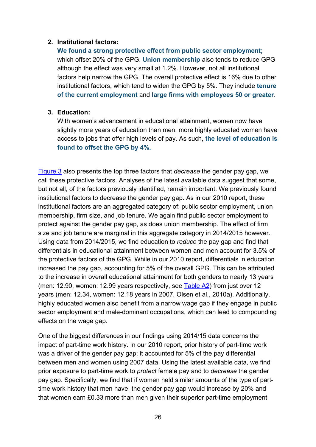#### **2. Institutional factors:**

**We found a strong protective effect from public sector employment;**  which offset 20% of the GPG. **Union membership** also tends to reduce GPG although the effect was very small at 1.2%. However, not all institutional factors help narrow the GPG. The overall protective effect is 16% due to other institutional factors, which tend to widen the GPG by 5%. They include **tenure of the current employment** and **large firms with employees 50 or greater**.

#### **3. Education:**

With women's advancement in educational attainment, women now have slightly more years of education than men, more highly educated women have access to jobs that offer high levels of pay. As such, **the level of education is found to offset the GPG by 4%.**

[Figure 3](#page-24-1) also presents the top three factors that *decrease* the gender pay gap, we call these protective factors. Analyses of the latest available data suggest that some, but not all, of the factors previously identified, remain important. We previously found institutional factors to decrease the gender pay gap. As in our 2010 report, these institutional factors are an aggregated category of: public sector employment, union membership, firm size, and job tenure. We again find public sector employment to protect against the gender pay gap, as does union membership. The effect of firm size and job tenure are marginal in this aggregate category in 2014/2015 however. Using data from 2014/2015, we find education to *reduce* the pay gap and find that differentials in educational attainment between women and men account for 3.5% of the protective factors of the GPG. While in our 2010 report, differentials in education increased the pay gap, accounting for 5% of the overall GPG. This can be attributed to the increase in overall educational attainment for both genders to nearly 13 years (men: 12.90, women: 12.99 years respectively, see [Table A2\)](#page-33-0) from just over 12 years (men: 12.34, women: 12.18 years in 2007, Olsen et al., 2010a). Additionally, highly educated women also benefit from a narrow wage gap if they engage in public sector employment and male-dominant occupations, which can lead to compounding effects on the wage gap.

One of the biggest differences in our findings using 2014/15 data concerns the impact of part-time work history. In our 2010 report, prior history of part-time work was a driver of the gender pay gap; it accounted for 5% of the pay differential between men and women using 2007 data. Using the latest available data, we find prior exposure to part-time work to *protect* female pay and to *decrease* the gender pay gap. Specifically, we find that if women held similar amounts of the type of parttime work history that men have, the gender pay gap would increase by 20% and that women earn £0.33 more than men given their superior part-time employment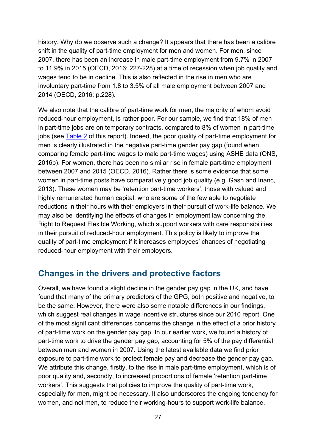history. Why do we observe such a change? It appears that there has been a calibre shift in the quality of part-time employment for men and women. For men, since 2007, there has been an increase in male part-time employment from 9.7% in 2007 to 11.9% in 2015 (OECD, 2016: 227-228) at a time of recession when job quality and wages tend to be in decline. This is also reflected in the rise in men who are involuntary part-time from 1.8 to 3.5% of all male employment between 2007 and 2014 (OECD, 2016: p.228).

We also note that the calibre of part-time work for men, the majority of whom avoid reduced-hour employment, is rather poor. For our sample, we find that 18% of men in part-time jobs are on temporary contracts, compared to 8% of women in part-time jobs (see [Table 2](#page-18-1) of this report). Indeed, the poor quality of part-time employment for men is clearly illustrated in the negative part-time gender pay gap (found when comparing female part-time wages to male part-time wages) using ASHE data (ONS, 2016b). For women, there has been no similar rise in female part-time employment between 2007 and 2015 (OECD, 2016). Rather there is some evidence that some women in part-time posts have comparatively good job quality (e.g. Gash and Inanc, 2013). These women may be 'retention part-time workers', those with valued and highly remunerated human capital, who are some of the few able to negotiate reductions in their hours with their employers in their pursuit of work-life balance. We may also be identifying the effects of changes in employment law concerning the Right to Request Flexible Working, which support workers with care responsibilities in their pursuit of reduced-hour employment. This policy is likely to improve the quality of part-time employment if it increases employees' chances of negotiating reduced-hour employment with their employers.

## <span id="page-27-0"></span>**Changes in the drivers and protective factors**

Overall, we have found a slight decline in the gender pay gap in the UK, and have found that many of the primary predictors of the GPG, both positive and negative, to be the same. However, there were also some notable differences in our findings, which suggest real changes in wage incentive structures since our 2010 report. One of the most significant differences concerns the change in the effect of a prior history of part-time work on the gender pay gap. In our earlier work, we found a history of part-time work to drive the gender pay gap, accounting for 5% of the pay differential between men and women in 2007. Using the latest available data we find prior exposure to part-time work to protect female pay and decrease the gender pay gap. We attribute this change, firstly, to the rise in male part-time employment, which is of poor quality and, secondly, to increased proportions of female 'retention part-time workers'. This suggests that policies to improve the quality of part-time work, especially for men, might be necessary. It also underscores the ongoing tendency for women, and not men, to reduce their working-hours to support work-life balance.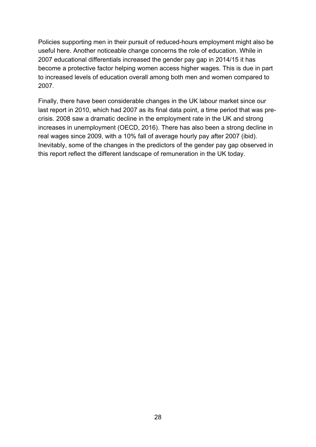Policies supporting men in their pursuit of reduced-hours employment might also be useful here. Another noticeable change concerns the role of education. While in 2007 educational differentials increased the gender pay gap in 2014/15 it has become a protective factor helping women access higher wages. This is due in part to increased levels of education overall among both men and women compared to 2007.

Finally, there have been considerable changes in the UK labour market since our last report in 2010, which had 2007 as its final data point, a time period that was precrisis. 2008 saw a dramatic decline in the employment rate in the UK and strong increases in unemployment (OECD, 2016). There has also been a strong decline in real wages since 2009, with a 10% fall of average hourly pay after 2007 (ibid). Inevitably, some of the changes in the predictors of the gender pay gap observed in this report reflect the different landscape of remuneration in the UK today.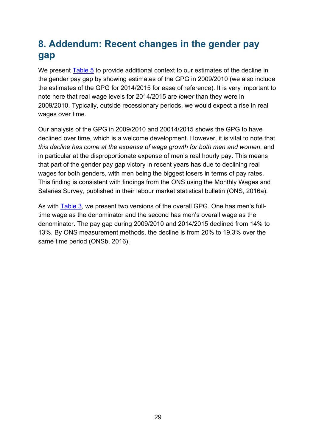# <span id="page-29-0"></span>**8. Addendum: Recent changes in the gender pay gap**

We present [Table 5](#page-30-0) to provide additional context to our estimates of the decline in the gender pay gap by showing estimates of the GPG in 2009/2010 (we also include the estimates of the GPG for 2014/2015 for ease of reference). It is very important to note here that real wage levels for 2014/2015 are *lower* than they were in 2009/2010. Typically, outside recessionary periods, we would expect a rise in real wages over time.

Our analysis of the GPG in 2009/2010 and 20014/2015 shows the GPG to have declined over time, which is a welcome development. However, it is vital to note that *this decline has come at the expense of wage growth for both men and women*, and in particular at the disproportionate expense of men's real hourly pay. This means that part of the gender pay gap victory in recent years has due to declining real wages for both genders, with men being the biggest losers in terms of pay rates. This finding is consistent with findings from the ONS using the Monthly Wages and Salaries Survey, published in their labour market statistical bulletin (ONS, 2016a).

As with [Table 3,](#page-20-1) we present two versions of the overall GPG. One has men's fulltime wage as the denominator and the second has men's overall wage as the denominator. The pay gap during 2009/2010 and 2014/2015 declined from 14% to 13%. By ONS measurement methods, the decline is from 20% to 19.3% over the same time period (ONSb, 2016).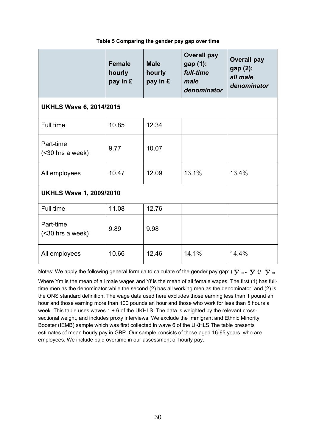<span id="page-30-0"></span>

|                                  | <b>Female</b><br>hourly<br>pay in £ | <b>Male</b><br>hourly<br>pay in £ | <b>Overall pay</b><br>gap (1):<br>full-time<br>male<br>denominator | <b>Overall pay</b><br>gap (2):<br>all male<br>denominator |  |  |  |  |  |
|----------------------------------|-------------------------------------|-----------------------------------|--------------------------------------------------------------------|-----------------------------------------------------------|--|--|--|--|--|
| <b>UKHLS Wave 6, 2014/2015</b>   |                                     |                                   |                                                                    |                                                           |  |  |  |  |  |
| Full time                        | 10.85                               | 12.34                             |                                                                    |                                                           |  |  |  |  |  |
| Part-time<br>$(<$ 30 hrs a week) | 9.77                                | 10.07                             |                                                                    |                                                           |  |  |  |  |  |
| All employees                    | 10.47                               | 12.09                             | 13.1%                                                              | 13.4%                                                     |  |  |  |  |  |
| <b>UKHLS Wave 1, 2009/2010</b>   |                                     |                                   |                                                                    |                                                           |  |  |  |  |  |
| Full time                        | 11.08                               | 12.76                             |                                                                    |                                                           |  |  |  |  |  |
| Part-time<br>$(<$ 30 hrs a week) | 9.89                                | 9.98                              |                                                                    |                                                           |  |  |  |  |  |
| All employees                    | 10.66                               | 12.46                             | 14.1%                                                              | 14.4%                                                     |  |  |  |  |  |

#### **Table 5 Comparing the gender pay gap over time**

Notes: We apply the following general formula to calculate of the gender pay gap:  $(\overline{y}_{m} - \overline{y}_{f})/\overline{y}_{m}$ . Where Ym is the mean of all male wages and Yf is the mean of all female wages. The first (1) has fulltime men as the denominator while the second (2) has all working men as the denominator, and (2) is the ONS standard definition. The wage data used here excludes those earning less than 1 pound an hour and those earning more than 100 pounds an hour and those who work for less than 5 hours a week. This table uses waves 1 + 6 of the UKHLS. The data is weighted by the relevant crosssectional weight, and includes proxy interviews. We exclude the Immigrant and Ethnic Minority Booster (IEMB) sample which was first collected in wave 6 of the UKHLS The table presents estimates of mean hourly pay in GBP. Our sample consists of those aged 16-65 years, who are employees. We include paid overtime in our assessment of hourly pay.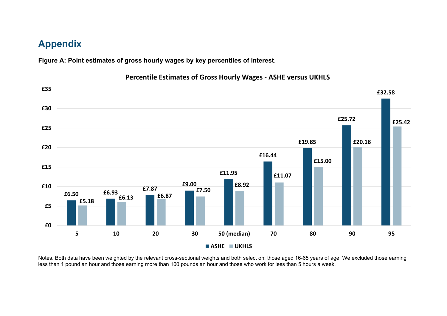## **Appendix**

**Figure A: Point estimates of gross hourly wages by key percentiles of interest**.



**Percentile Estimates of Gross Hourly Wages - ASHE versus UKHLS**

<span id="page-31-1"></span><span id="page-31-0"></span>Notes. Both data have been weighted by the relevant cross-sectional weights and both select on: those aged 16-65 years of age. We excluded those earning less than 1 pound an hour and those earning more than 100 pounds an hour and those who work for less than 5 hours a week.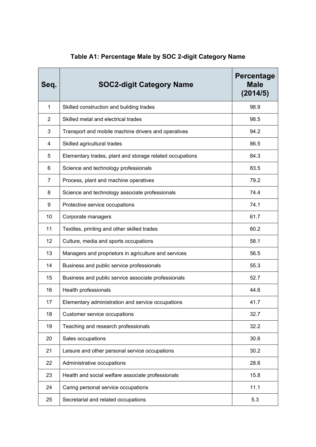<span id="page-32-0"></span>

| Seq.           | <b>SOC2-digit Category Name</b>                          | Percentage<br><b>Male</b><br>(2014/5) |
|----------------|----------------------------------------------------------|---------------------------------------|
| $\mathbf{1}$   | Skilled construction and building trades                 | 98.9                                  |
| $\overline{2}$ | Skilled metal and electrical trades                      | 98.5                                  |
| 3              | Transport and mobile machine drivers and operatives      | 94.2                                  |
| 4              | Skilled agricultural trades                              | 86.5                                  |
| 5              | Elementary trades, plant and storage related occupations | 84.3                                  |
| 6              | Science and technology professionals                     | 83.5                                  |
| $\overline{7}$ | Process, plant and machine operatives                    | 79.2                                  |
| 8              | Science and technology associate professionals           | 74.4                                  |
| 9              | Protective service occupations                           | 74.1                                  |
| 10             | Corporate managers                                       | 61.7                                  |
| 11             | Textiles, printing and other skilled trades              | 60.2                                  |
| 12             | Culture, media and sports occupations                    | 58.1                                  |
| 13             | Managers and proprietors in agriculture and services     | 56.5                                  |
| 14             | Business and public service professionals                | 55.3                                  |
| 15             | Business and public service associate professionals      | 52.7                                  |
| 16             | Health professionals                                     | 44.6                                  |
| 17             | Elementary administration and service occupations        | 41.7                                  |
| 18             | Customer service occupations                             | 32.7                                  |
| 19             | Teaching and research professionals                      | 32.2                                  |
| 20             | Sales occupations                                        | 30.6                                  |
| 21             | Leisure and other personal service occupations           | 30.2                                  |
| 22             | Administrative occupations                               | 28.6                                  |
| 23             | Health and social welfare associate professionals        | 15.8                                  |
| 24             | Caring personal service occupations                      | 11.1                                  |
| 25             | Secretarial and related occupations                      | 5.3                                   |

# **Table A1: Percentage Male by SOC 2-digit Category Name**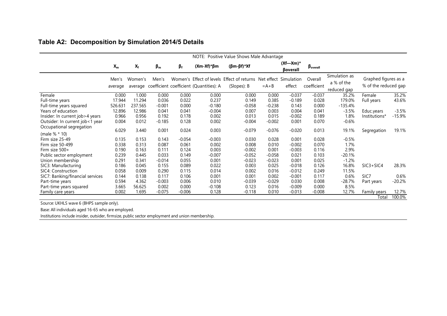| NOTE: Positive Value Shows Male Advantage |                  |         |           |           |                                                 |                                                           |          |                                   |                          |                                            |                                              |          |
|-------------------------------------------|------------------|---------|-----------|-----------|-------------------------------------------------|-----------------------------------------------------------|----------|-----------------------------------|--------------------------|--------------------------------------------|----------------------------------------------|----------|
|                                           | $X_{m}$          | $X_f$   | $\beta_m$ | $\beta_f$ | $(Xm-Xf)^*\beta m$                              | $(\beta m - \beta f)^* Xf$                                |          | $(Xf$ -Xm $)*$<br><b>Boverall</b> | $\beta_{\text{overall}}$ |                                            |                                              |          |
|                                           | Men's<br>average | Women's | Men's     |           | average coefficient coefficient (Quantities): A | Women's Effect of levels Effect of returns<br>(Slopes): B | $=A+B$   | Net effect Simulation<br>effect   | Overall<br>coefficient   | Simulation as<br>a % of the<br>reduced gap | Graphed figures as a<br>% of the reduced gap |          |
| Female                                    | 0.000            | 1.000   | 0.000     | 0.000     | 0.000                                           | 0.000                                                     | 0.000    | $-0.037$                          | $-0.037$                 | 35.2%                                      | Female                                       | 35.2%    |
| Full-time years                           | 17.944           | 11.294  | 0.036     | 0.022     | 0.237                                           | 0.149                                                     | 0.385    | $-0.189$                          | 0.028                    | 179.0%                                     | Full years                                   | 43.6%    |
| Full-time years squared                   | 526.631          | 237.565 | $-0.001$  | 0.000     | $-0.180$                                        | $-0.058$                                                  | $-0.238$ | 0.143                             | 0.000                    | $-135.4%$                                  |                                              |          |
| Years of education                        | 12.896           | 12.986  | 0.041     | 0.041     | $-0.004$                                        | 0.007                                                     | 0.003    | 0.004                             | 0.041                    | $-3.5%$                                    | Educ.years                                   | $-3.5%$  |
| Insider: In current job>4 years           | 0.966            | 0.956   | 0.192     | 0.178     | 0.002                                           | 0.013                                                     | 0.015    | $-0.002$                          | 0.189                    | 1.8%                                       | Institutions*                                | $-15.9%$ |
| Outsider: In current job<1 year           | 0.004            | 0.012   | $-0.185$  | 0.128     | 0.002                                           | $-0.004$                                                  | $-0.002$ | 0.001                             | 0.070                    | $-0.6%$                                    |                                              |          |
| Occupational segregation<br>(male % * 10) | 6.029            | 3.440   | 0.001     | 0.024     | 0.003                                           | $-0.079$                                                  | $-0.076$ | $-0.020$                          | 0.013                    | 19.1%                                      | Segregation                                  | 19.1%    |
| Firm size 25-49                           | 0.135            | 0.153   | 0.143     | $-0.054$  | $-0.003$                                        | 0.030                                                     | 0.028    | 0.001                             | 0.028                    | $-0.5%$                                    |                                              |          |
| Firm size 50-499                          | 0.338            | 0.313   | 0.087     | 0.061     | 0.002                                           | 0.008                                                     | 0.010    | $-0.002$                          | 0.070                    | 1.7%                                       |                                              |          |
| Firm size 500+                            | 0.190            | 0.163   | 0.111     | 0.124     | 0.003                                           | $-0.002$                                                  | 0.001    | $-0.003$                          | 0.116                    | 2.9%                                       |                                              |          |
| Public sector employment                  | 0.239            | 0.445   | 0.033     | 0.149     | $-0.007$                                        | $-0.052$                                                  | $-0.058$ | 0.021                             | 0.103                    | $-20.1%$                                   |                                              |          |
| Union membership                          | 0.291            | 0.341   | $-0.014$  | 0.055     | 0.001                                           | $-0.023$                                                  | $-0.023$ | 0.001                             | 0.025                    | $-1.2%$                                    |                                              |          |
| SIC3: Manufacturing                       | 0.186            | 0.045   | 0.155     | 0.089     | 0.022                                           | 0.003                                                     | 0.025    | $-0.018$                          | 0.126                    | 16.8%                                      | $SIC3 + SIC4$                                | 28.3%    |
| SIC4: Construction                        | 0.058            | 0.009   | 0.290     | 0.115     | 0.014                                           | 0.002                                                     | 0.016    | $-0.012$                          | 0.249                    | 11.5%                                      |                                              |          |
| SIC7: Banking/financial services          | 0.144            | 0.138   | 0.117     | 0.106     | 0.001                                           | 0.001                                                     | 0.002    | $-0.001$                          | 0.117                    | 0.6%                                       | SIC7                                         | 0.6%     |
| Part-time years                           | 0.594            | 4.362   | $-0.003$  | 0.006     | 0.010                                           | $-0.039$                                                  | $-0.029$ | 0.030                             | 0.008                    | $-28.7%$                                   | Part years                                   | $-20.2%$ |
| Part-time years squared                   | 3.665            | 56.625  | 0.002     | 0.000     | $-0.108$                                        | 0.123                                                     | 0.016    | $-0.009$                          | 0.000                    | 8.5%                                       |                                              |          |
| Family care years                         | 0.002            | 1.695   | $-0.075$  | $-0.006$  | 0.128                                           | $-0.118$                                                  | 0.010    | $-0.013$                          | $-0.008$                 | 12.7%                                      | Family years                                 | 12.7%    |
|                                           |                  |         |           |           |                                                 |                                                           |          |                                   |                          |                                            | Total                                        | 100.0%   |

## **Table A2: Decomposition by Simulation 2014/5 Details**

<span id="page-33-0"></span>Source: UKHLS wave 6 (BHPS sample only).

Base: All individuals aged 16-65 who are employed.

Institutions include insider, outsider, firmsize, public sector employment and union membership.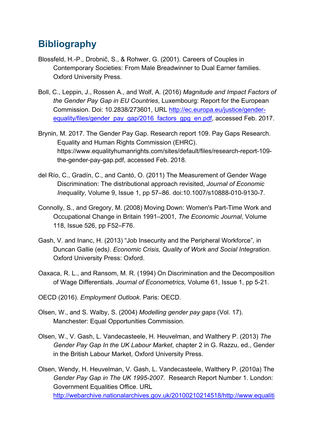# <span id="page-34-0"></span>**Bibliography**

- Blossfeld, H.-P., Drobnič, S., & Rohwer, G. (2001). Careers of Couples in Contemporary Societies: From Male Breadwinner to Dual Earner families. Oxford University Press.
- Boll, C., Leppin, J., Rossen A., and Wolf, A. (2016) *Magnitude and Impact Factors of the Gender Pay Gap in EU Countries*, Luxembourg: Report for the European Commission. Doi: 10.2838/273601, URL [http://ec.europa.eu/justice/gender](http://ec.europa.eu/justice/gender-equality/files/gender_pay_gap/2016_factors_gpg_en.pdf)[equality/files/gender\\_pay\\_gap/2016\\_factors\\_gpg\\_en.pdf,](http://ec.europa.eu/justice/gender-equality/files/gender_pay_gap/2016_factors_gpg_en.pdf) accessed Feb. 2017.
- Brynin, M. 2017. The Gender Pay Gap. Research report 109. Pay Gaps Research. Equality and Human Rights Commission (EHRC). https://www.equalityhumanrights.com/sites/default/files/research-report-109 the-gender-pay-gap.pdf, accessed Feb. 2018.
- del Río, C., Gradín, C., and Cantó, O. (2011) The Measurement of Gender Wage Discrimination: The distributional approach revisited, *Journal of Economic Inequality*, Volume 9, Issue 1, pp 57–86. doi:10.1007/s10888-010-9130-7.
- Connolly, S., and Gregory, M. (2008) Moving Down: Women's Part-Time Work and Occupational Change in Britain 1991–2001, *The Economic Journal*, Volume 118, Issue 526, pp F52–F76.
- Gash, V. and Inanc, H. (2013) "Job Insecurity and the Peripheral Workforce"*,* in Duncan Gallie (eds*). Economic Crisis, Quality of Work and Social Integration*. Oxford University Press: Oxford.
- Oaxaca, R. L., and Ransom, M. R. (1994) On Discrimination and the Decomposition of Wage Differentials. *Journal of Econometrics,* Volume 61, Issue 1, pp 5-21.
- OECD (2016). *Employment Outlook*. Paris: OECD.
- Olsen, W., and S. Walby, S. (2004) *Modelling gender pay gaps* (Vol. 17). Manchester: Equal Opportunities Commission.
- Olsen, W., V. Gash, L. Vandecasteele, H. Heuvelman, and Walthery P. (2013) *The Gender Pay Gap In the UK Labour Market*, chapter 2 in G. Razzu, ed., Gender in the British Labour Market, Oxford University Press.
- Olsen, Wendy, H. Heuvelman, V. Gash, L. Vandecasteele, Walthery P. (2010a) The *Gender Pay Gap in The UK 1995-2007*. Research Report Number 1. London: Government Equalities Office. URL [http://webarchive.nationalarchives.gov.uk/20100210214518/http://www.equaliti](http://webarchive.nationalarchives.gov.uk/20100210214518/http:/www.equalities.gov.uk/publications_and_research/research/the_gender_pay_gap_in_the_uk.aspx)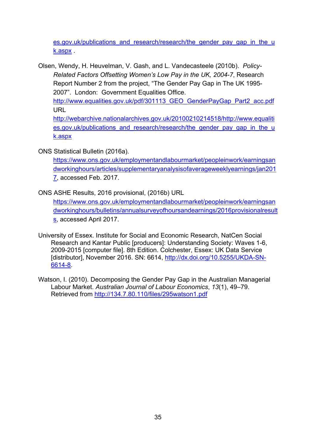es.gov.uk/publications and research/research/the gender pay gap in the u [k.aspx](http://webarchive.nationalarchives.gov.uk/20100210214518/http:/www.equalities.gov.uk/publications_and_research/research/the_gender_pay_gap_in_the_uk.aspx) .

Olsen, Wendy, H. Heuvelman, V. Gash, and L. Vandecasteele (2010b). *Policy-Related Factors Offsetting Women's Low Pay in the UK, 2004-7*, Research Report Number 2 from the project, "The Gender Pay Gap in The UK 1995- 2007". London: Government Equalities Office.

[http://www.equalities.gov.uk/pdf/301113\\_GEO\\_GenderPayGap\\_Part2\\_acc.pdf](http://www.equalities.gov.uk/pdf/301113_GEO_GenderPayGap_Part2_acc.pdf) URL

[http://webarchive.nationalarchives.gov.uk/20100210214518/http://www.equaliti](http://webarchive.nationalarchives.gov.uk/20100210214518/http:/www.equalities.gov.uk/publications_and_research/research/the_gender_pay_gap_in_the_uk.aspx) [es.gov.uk/publications\\_and\\_research/research/the\\_gender\\_pay\\_gap\\_in\\_the\\_u](http://webarchive.nationalarchives.gov.uk/20100210214518/http:/www.equalities.gov.uk/publications_and_research/research/the_gender_pay_gap_in_the_uk.aspx) [k.aspx](http://webarchive.nationalarchives.gov.uk/20100210214518/http:/www.equalities.gov.uk/publications_and_research/research/the_gender_pay_gap_in_the_uk.aspx)

ONS Statistical Bulletin (2016a).

[https://www.ons.gov.uk/employmentandlabourmarket/peopleinwork/earningsan](https://www.ons.gov.uk/employmentandlabourmarket/peopleinwork/earningsandworkinghours/articles/supplementaryanalysisofaverageweeklyearnings/jan2017) [dworkinghours/articles/supplementaryanalysisofaverageweeklyearnings/jan201](https://www.ons.gov.uk/employmentandlabourmarket/peopleinwork/earningsandworkinghours/articles/supplementaryanalysisofaverageweeklyearnings/jan2017) [7,](https://www.ons.gov.uk/employmentandlabourmarket/peopleinwork/earningsandworkinghours/articles/supplementaryanalysisofaverageweeklyearnings/jan2017) accessed Feb. 2017.

ONS ASHE Results, 2016 provisional, (2016b) URL

[https://www.ons.gov.uk/employmentandlabourmarket/peopleinwork/earningsan](https://www.ons.gov.uk/employmentandlabourmarket/peopleinwork/earningsandworkinghours/bulletins/annualsurveyofhoursandearnings/2016provisionalresults) [dworkinghours/bulletins/annualsurveyofhoursandearnings/2016provisionalresult](https://www.ons.gov.uk/employmentandlabourmarket/peopleinwork/earningsandworkinghours/bulletins/annualsurveyofhoursandearnings/2016provisionalresults) [s,](https://www.ons.gov.uk/employmentandlabourmarket/peopleinwork/earningsandworkinghours/bulletins/annualsurveyofhoursandearnings/2016provisionalresults) accessed April 2017.

University of Essex. Institute for Social and Economic Research, NatCen Social Research and Kantar Public [producers]: Understanding Society: Waves 1-6, 2009-2015 [computer file]. 8th Edition. Colchester, Essex: UK Data Service [distributor], November 2016. SN: 6614, [http://dx.doi.org/10.5255/UKDA-SN-](http://dx.doi.org/10.5255/UKDA-SN-6614-8)[6614-8.](http://dx.doi.org/10.5255/UKDA-SN-6614-8)

Watson, I. (2010). Decomposing the Gender Pay Gap in the Australian Managerial Labour Market. *Australian Journal of Labour Economics*, *13*(1), 49–79. Retrieved from<http://134.7.80.110/files/295watson1.pdf>